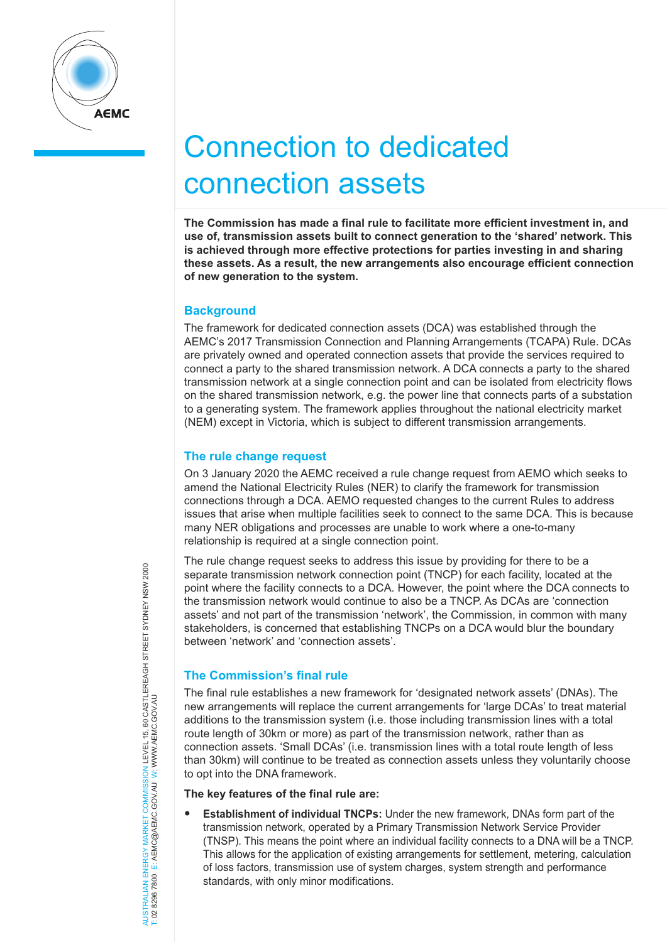

# Connection to dedicated connection assets

**The Commission has made a final rule to facilitate more efficient investment in, and use of, transmission assets built to connect generation to the 'shared' network. This is achieved through more effective protections for parties investing in and sharing these assets. As a result, the new arrangements also encourage efficient connection of new generation to the system.**

## **Background**

The framework for dedicated connection assets (DCA) was established through the AEMC's 2017 Transmission Connection and Planning Arrangements (TCAPA) Rule. DCAs are privately owned and operated connection assets that provide the services required to connect a party to the shared transmission network. A DCA connects a party to the shared transmission network at a single connection point and can be isolated from electricity flows on the shared transmission network, e.g. the power line that connects parts of a substation to a generating system. The framework applies throughout the national electricity market (NEM) except in Victoria, which is subject to different transmission arrangements.

## **The rule change request**

On 3 January 2020 the AEMC received a rule change request from AEMO which seeks to amend the National Electricity Rules (NER) to clarify the framework for transmission connections through a DCA. AEMO requested changes to the current Rules to address issues that arise when multiple facilities seek to connect to the same DCA. This is because many NER obligations and processes are unable to work where a one-to-many relationship is required at a single connection point.

The rule change request seeks to address this issue by providing for there to be a separate transmission network connection point (TNCP) for each facility, located at the point where the facility connects to a DCA. However, the point where the DCA connects to the transmission network would continue to also be a TNCP. As DCAs are 'connection assets' and not part of the transmission 'network', the Commission, in common with many stakeholders, is concerned that establishing TNCPs on a DCA would blur the boundary between 'network' and 'connection assets'.

## **The Commission's final rule**

The final rule establishes a new framework for 'designated network assets' (DNAs). The new arrangements will replace the current arrangements for 'large DCAs' to treat material additions to the transmission system (i.e. those including transmission lines with a total route length of 30km or more) as part of the transmission network, rather than as connection assets. 'Small DCAs' (i.e. transmission lines with a total route length of less than 30km) will continue to be treated as connection assets unless they voluntarily choose to opt into the DNA framework.

## **The key features of the final rule are:**

• **Establishment of individual TNCPs:** Under the new framework, DNAs form part of the transmission network, operated by a Primary Transmission Network Service Provider (TNSP). This means the point where an individual facility connects to a DNA will be a TNCP. This allows for the application of existing arrangements for settlement, metering, calculation of loss factors, transmission use of system charges, system strength and performance standards, with only minor modifications.

NERGY MARKET COMMISSION LEVEL 15, 60 CASTLEREAGH STREET SYDNEY NSW 2000<br>E: AEMC@AEMC.GOV.AU W: WWW.AEMC.GOV.AU AUSTRALIAN ENERGY MARKET COMMISSION LEVEL 15, 60 CASTLEREAGH STREET SYDNEY NSW 2000 T: 02 8296 7800 E: AEMC@AEMC.GOV.AU W: WWW.AEMC.GOV.AU AUSTRALIAN FNFRGY MARKET T: 02 8296 7800